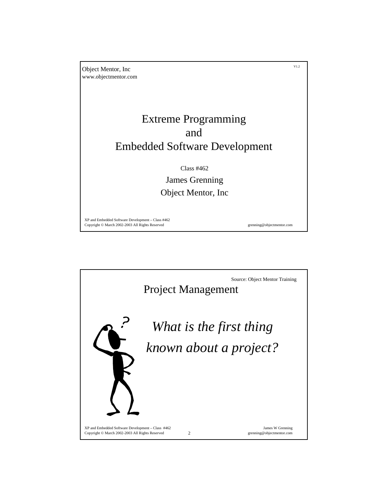

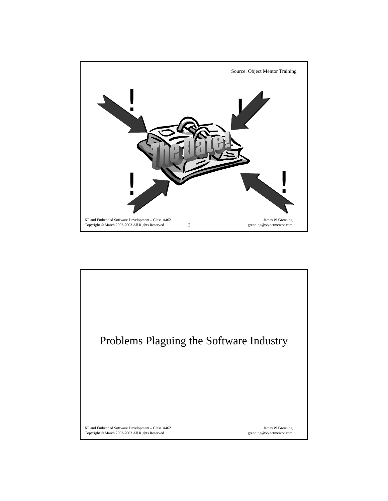

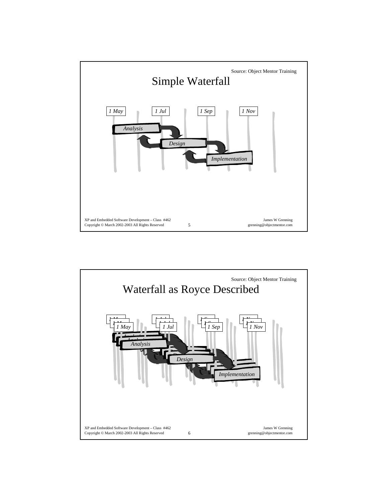

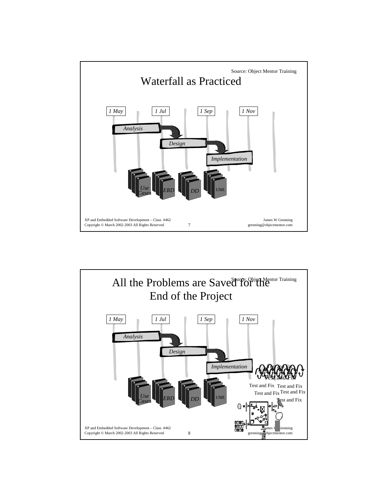

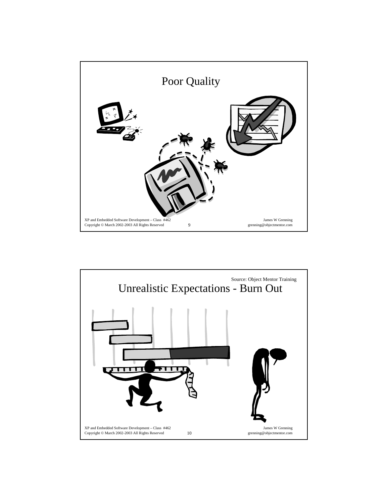

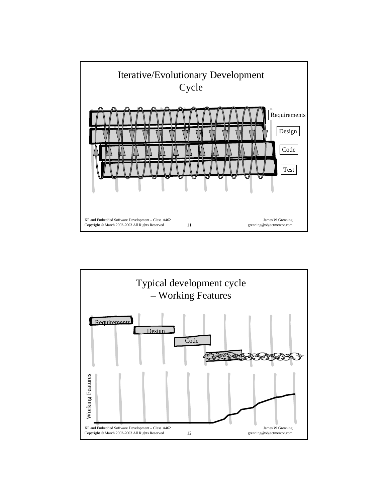

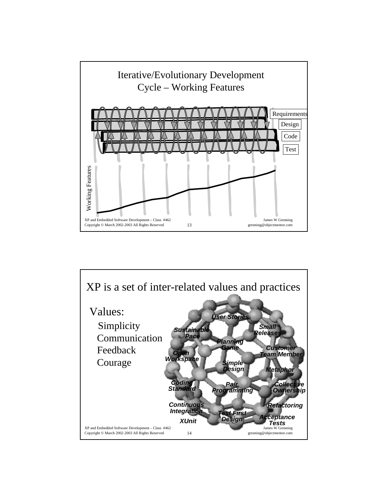

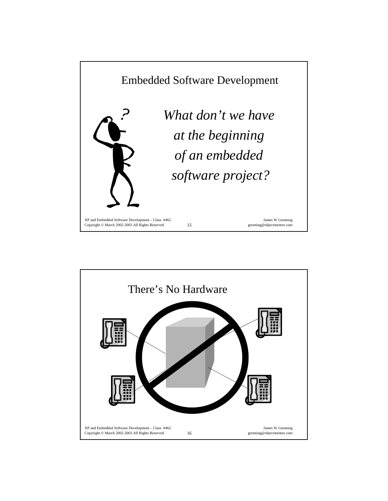

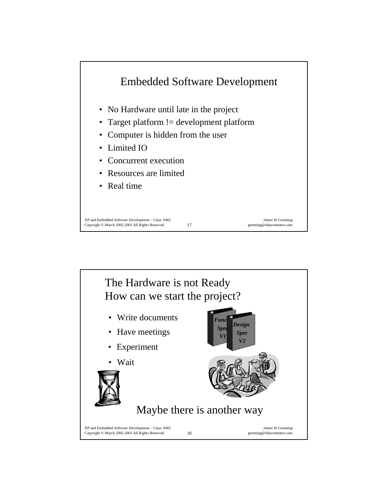

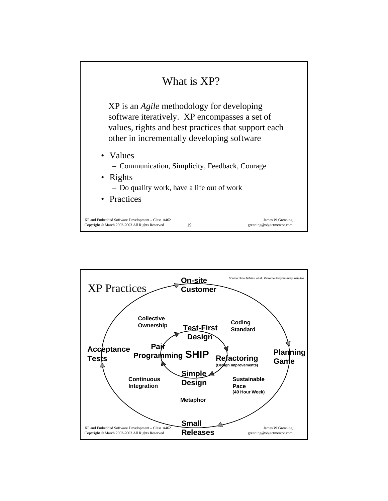

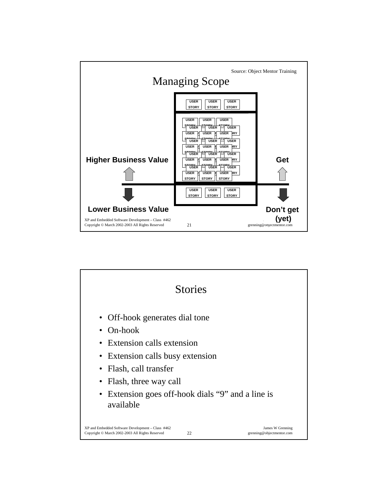

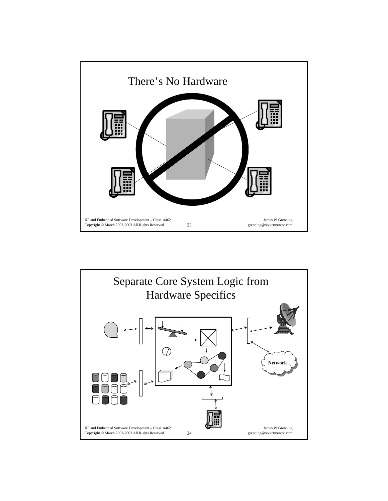

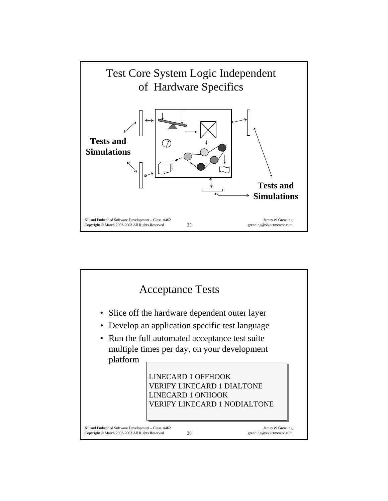

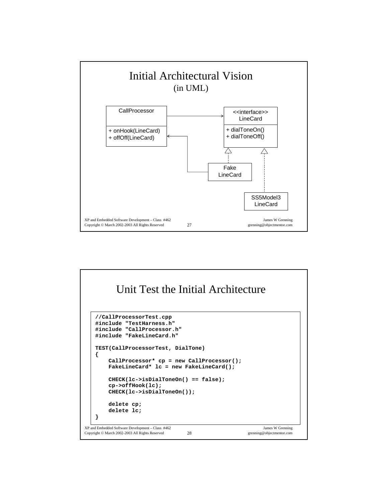

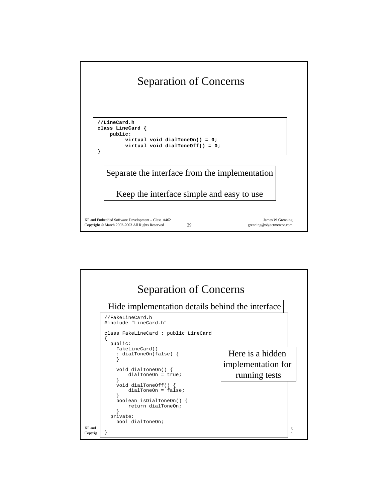

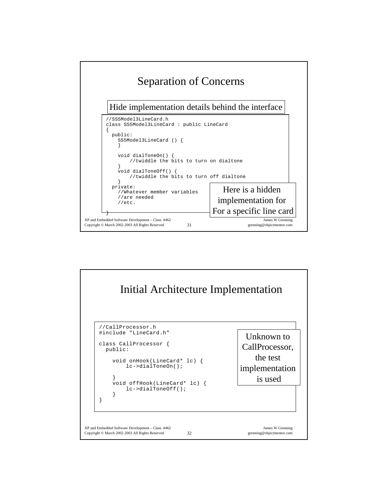

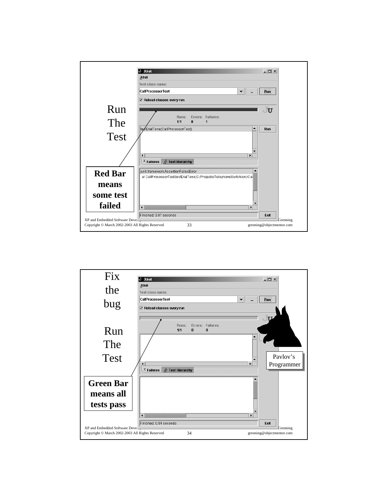

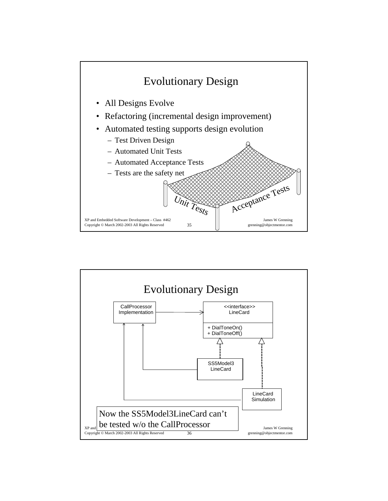

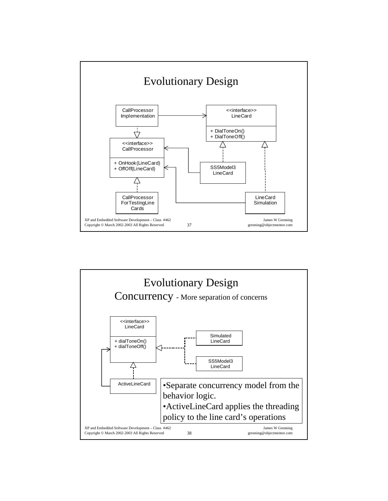

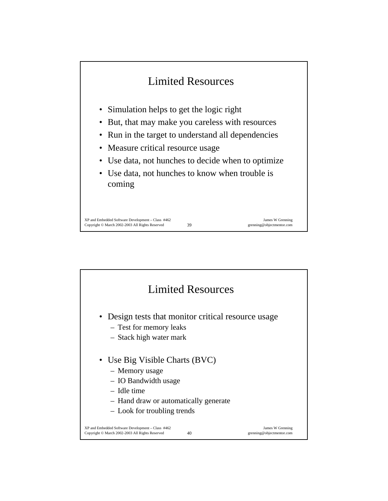

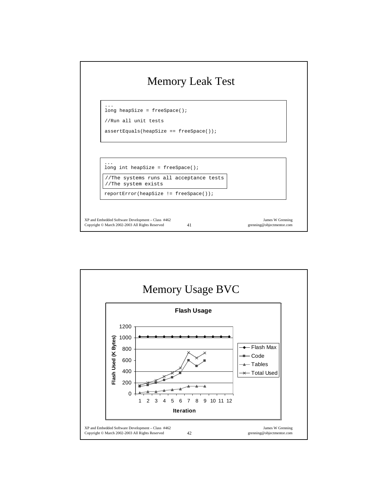

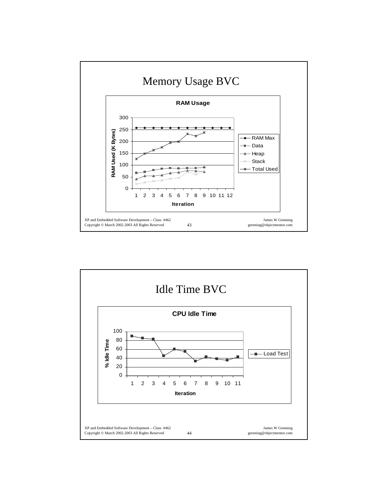

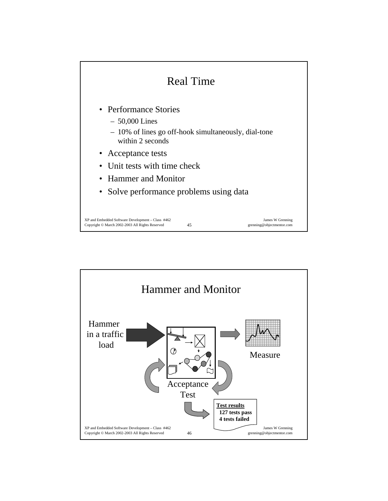

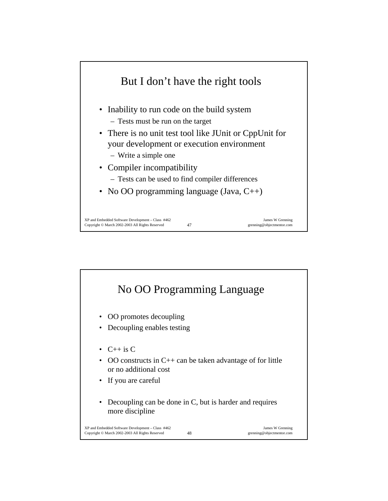

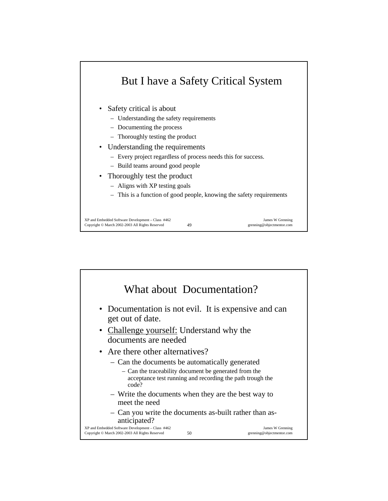

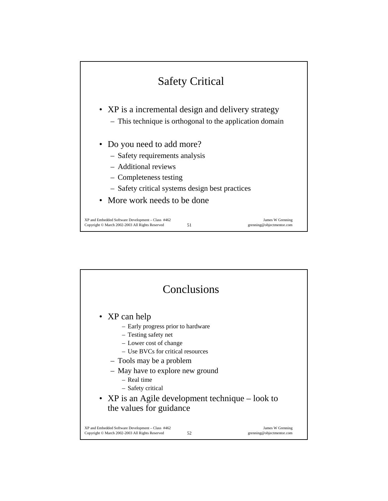